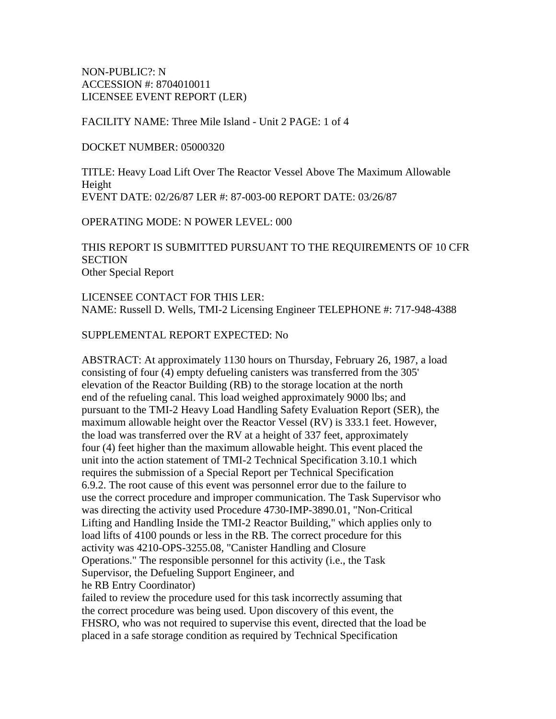NON-PUBLIC?: N ACCESSION #: 8704010011 LICENSEE EVENT REPORT (LER)

FACILITY NAME: Three Mile Island - Unit 2 PAGE: 1 of 4

DOCKET NUMBER: 05000320

TITLE: Heavy Load Lift Over The Reactor Vessel Above The Maximum Allowable Height EVENT DATE: 02/26/87 LER #: 87-003-00 REPORT DATE: 03/26/87

OPERATING MODE: N POWER LEVEL: 000

THIS REPORT IS SUBMITTED PURSUANT TO THE REQUIREMENTS OF 10 CFR **SECTION** Other Special Report

LICENSEE CONTACT FOR THIS LER: NAME: Russell D. Wells, TMI-2 Licensing Engineer TELEPHONE #: 717-948-4388

SUPPLEMENTAL REPORT EXPECTED: No

ABSTRACT: At approximately 1130 hours on Thursday, February 26, 1987, a load consisting of four (4) empty defueling canisters was transferred from the 305' elevation of the Reactor Building (RB) to the storage location at the north end of the refueling canal. This load weighed approximately 9000 lbs; and pursuant to the TMI-2 Heavy Load Handling Safety Evaluation Report (SER), the maximum allowable height over the Reactor Vessel (RV) is 333.1 feet. However, the load was transferred over the RV at a height of 337 feet, approximately four (4) feet higher than the maximum allowable height. This event placed the unit into the action statement of TMI-2 Technical Specification 3.10.1 which requires the submission of a Special Report per Technical Specification 6.9.2. The root cause of this event was personnel error due to the failure to use the correct procedure and improper communication. The Task Supervisor who was directing the activity used Procedure 4730-IMP-3890.01, "Non-Critical Lifting and Handling Inside the TMI-2 Reactor Building," which applies only to load lifts of 4100 pounds or less in the RB. The correct procedure for this activity was 4210-OPS-3255.08, "Canister Handling and Closure Operations." The responsible personnel for this activity (i.e., the Task Supervisor, the Defueling Support Engineer, and he RB Entry Coordinator)

failed to review the procedure used for this task incorrectly assuming that the correct procedure was being used. Upon discovery of this event, the FHSRO, who was not required to supervise this event, directed that the load be placed in a safe storage condition as required by Technical Specification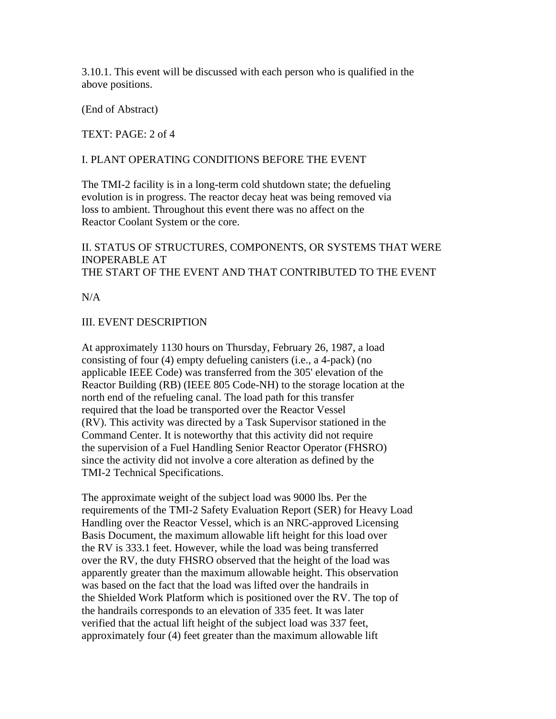3.10.1. This event will be discussed with each person who is qualified in the above positions.

(End of Abstract)

TEXT: PAGE: 2 of 4

### I. PLANT OPERATING CONDITIONS BEFORE THE EVENT

The TMI-2 facility is in a long-term cold shutdown state; the defueling evolution is in progress. The reactor decay heat was being removed via loss to ambient. Throughout this event there was no affect on the Reactor Coolant System or the core.

II. STATUS OF STRUCTURES, COMPONENTS, OR SYSTEMS THAT WERE INOPERABLE AT THE START OF THE EVENT AND THAT CONTRIBUTED TO THE EVENT

 $N/A$ 

### III. EVENT DESCRIPTION

At approximately 1130 hours on Thursday, February 26, 1987, a load consisting of four (4) empty defueling canisters (i.e., a 4-pack) (no applicable IEEE Code) was transferred from the 305' elevation of the Reactor Building (RB) (IEEE 805 Code-NH) to the storage location at the north end of the refueling canal. The load path for this transfer required that the load be transported over the Reactor Vessel (RV). This activity was directed by a Task Supervisor stationed in the Command Center. It is noteworthy that this activity did not require the supervision of a Fuel Handling Senior Reactor Operator (FHSRO) since the activity did not involve a core alteration as defined by the TMI-2 Technical Specifications.

The approximate weight of the subject load was 9000 lbs. Per the requirements of the TMI-2 Safety Evaluation Report (SER) for Heavy Load Handling over the Reactor Vessel, which is an NRC-approved Licensing Basis Document, the maximum allowable lift height for this load over the RV is 333.1 feet. However, while the load was being transferred over the RV, the duty FHSRO observed that the height of the load was apparently greater than the maximum allowable height. This observation was based on the fact that the load was lifted over the handrails in the Shielded Work Platform which is positioned over the RV. The top of the handrails corresponds to an elevation of 335 feet. It was later verified that the actual lift height of the subject load was 337 feet, approximately four (4) feet greater than the maximum allowable lift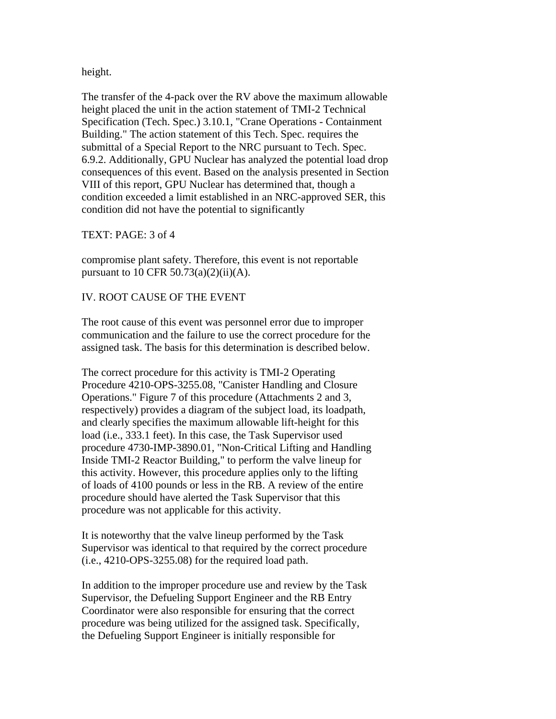height.

The transfer of the 4-pack over the RV above the maximum allowable height placed the unit in the action statement of TMI-2 Technical Specification (Tech. Spec.) 3.10.1, "Crane Operations - Containment Building." The action statement of this Tech. Spec. requires the submittal of a Special Report to the NRC pursuant to Tech. Spec. 6.9.2. Additionally, GPU Nuclear has analyzed the potential load drop consequences of this event. Based on the analysis presented in Section VIII of this report, GPU Nuclear has determined that, though a condition exceeded a limit established in an NRC-approved SER, this condition did not have the potential to significantly

TEXT: PAGE: 3 of 4

compromise plant safety. Therefore, this event is not reportable pursuant to 10 CFR 50.73(a)(2)(ii)(A).

### IV. ROOT CAUSE OF THE EVENT

The root cause of this event was personnel error due to improper communication and the failure to use the correct procedure for the assigned task. The basis for this determination is described below.

The correct procedure for this activity is TMI-2 Operating Procedure 4210-OPS-3255.08, "Canister Handling and Closure Operations." Figure 7 of this procedure (Attachments 2 and 3, respectively) provides a diagram of the subject load, its loadpath, and clearly specifies the maximum allowable lift-height for this load (i.e., 333.1 feet). In this case, the Task Supervisor used procedure 4730-IMP-3890.01, "Non-Critical Lifting and Handling Inside TMI-2 Reactor Building," to perform the valve lineup for this activity. However, this procedure applies only to the lifting of loads of 4100 pounds or less in the RB. A review of the entire procedure should have alerted the Task Supervisor that this procedure was not applicable for this activity.

It is noteworthy that the valve lineup performed by the Task Supervisor was identical to that required by the correct procedure (i.e., 4210-OPS-3255.08) for the required load path.

In addition to the improper procedure use and review by the Task Supervisor, the Defueling Support Engineer and the RB Entry Coordinator were also responsible for ensuring that the correct procedure was being utilized for the assigned task. Specifically, the Defueling Support Engineer is initially responsible for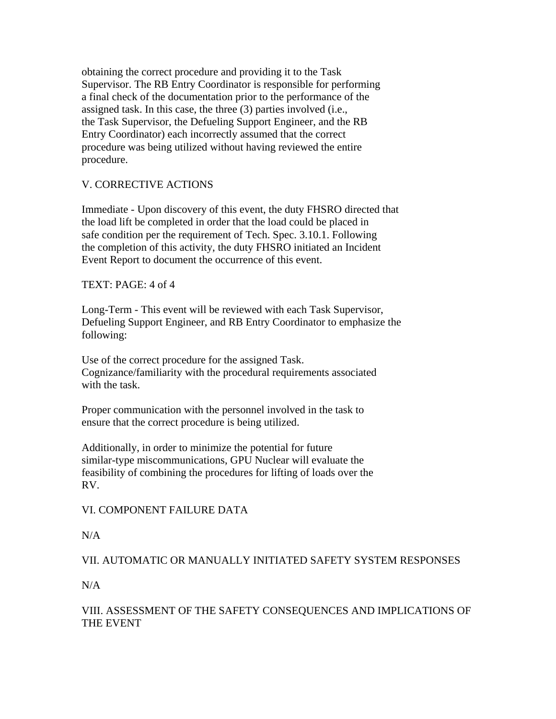obtaining the correct procedure and providing it to the Task Supervisor. The RB Entry Coordinator is responsible for performing a final check of the documentation prior to the performance of the assigned task. In this case, the three (3) parties involved (i.e., the Task Supervisor, the Defueling Support Engineer, and the RB Entry Coordinator) each incorrectly assumed that the correct procedure was being utilized without having reviewed the entire procedure.

# V. CORRECTIVE ACTIONS

Immediate - Upon discovery of this event, the duty FHSRO directed that the load lift be completed in order that the load could be placed in safe condition per the requirement of Tech. Spec. 3.10.1. Following the completion of this activity, the duty FHSRO initiated an Incident Event Report to document the occurrence of this event.

### TEXT: PAGE: 4 of 4

Long-Term - This event will be reviewed with each Task Supervisor, Defueling Support Engineer, and RB Entry Coordinator to emphasize the following:

Use of the correct procedure for the assigned Task. Cognizance/familiarity with the procedural requirements associated with the task.

Proper communication with the personnel involved in the task to ensure that the correct procedure is being utilized.

Additionally, in order to minimize the potential for future similar-type miscommunications, GPU Nuclear will evaluate the feasibility of combining the procedures for lifting of loads over the RV.

# VI. COMPONENT FAILURE DATA

# $N/A$

VII. AUTOMATIC OR MANUALLY INITIATED SAFETY SYSTEM RESPONSES

 $N/A$ 

# VIII. ASSESSMENT OF THE SAFETY CONSEQUENCES AND IMPLICATIONS OF THE EVENT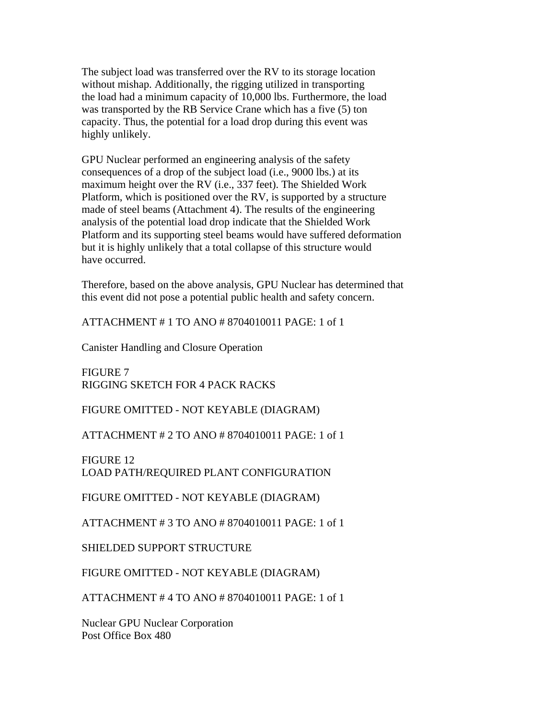The subject load was transferred over the RV to its storage location without mishap. Additionally, the rigging utilized in transporting the load had a minimum capacity of 10,000 lbs. Furthermore, the load was transported by the RB Service Crane which has a five (5) ton capacity. Thus, the potential for a load drop during this event was highly unlikely.

GPU Nuclear performed an engineering analysis of the safety consequences of a drop of the subject load (i.e., 9000 lbs.) at its maximum height over the RV (i.e., 337 feet). The Shielded Work Platform, which is positioned over the RV, is supported by a structure made of steel beams (Attachment 4). The results of the engineering analysis of the potential load drop indicate that the Shielded Work Platform and its supporting steel beams would have suffered deformation but it is highly unlikely that a total collapse of this structure would have occurred.

Therefore, based on the above analysis, GPU Nuclear has determined that this event did not pose a potential public health and safety concern.

ATTACHMENT # 1 TO ANO # 8704010011 PAGE: 1 of 1

Canister Handling and Closure Operation

FIGURE 7 RIGGING SKETCH FOR 4 PACK RACKS

FIGURE OMITTED - NOT KEYABLE (DIAGRAM)

ATTACHMENT # 2 TO ANO # 8704010011 PAGE: 1 of 1

FIGURE 12 LOAD PATH/REQUIRED PLANT CONFIGURATION

FIGURE OMITTED - NOT KEYABLE (DIAGRAM)

ATTACHMENT # 3 TO ANO # 8704010011 PAGE: 1 of 1

SHIELDED SUPPORT STRUCTURE

FIGURE OMITTED - NOT KEYABLE (DIAGRAM)

ATTACHMENT # 4 TO ANO # 8704010011 PAGE: 1 of 1

Nuclear GPU Nuclear Corporation Post Office Box 480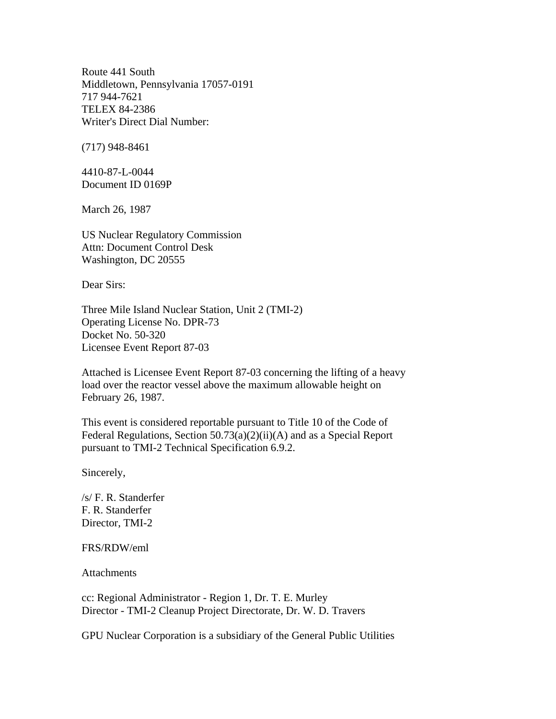Route 441 South Middletown, Pennsylvania 17057-0191 717 944-7621 TELEX 84-2386 Writer's Direct Dial Number:

(717) 948-8461

4410-87-L-0044 Document ID 0169P

March 26, 1987

US Nuclear Regulatory Commission Attn: Document Control Desk Washington, DC 20555

Dear Sirs:

Three Mile Island Nuclear Station, Unit 2 (TMI-2) Operating License No. DPR-73 Docket No. 50-320 Licensee Event Report 87-03

Attached is Licensee Event Report 87-03 concerning the lifting of a heavy load over the reactor vessel above the maximum allowable height on February 26, 1987.

This event is considered reportable pursuant to Title 10 of the Code of Federal Regulations, Section 50.73(a)(2)(ii)(A) and as a Special Report pursuant to TMI-2 Technical Specification 6.9.2.

Sincerely,

/s/ F. R. Standerfer F. R. Standerfer Director, TMI-2

#### FRS/RDW/eml

**Attachments** 

cc: Regional Administrator - Region 1, Dr. T. E. Murley Director - TMI-2 Cleanup Project Directorate, Dr. W. D. Travers

GPU Nuclear Corporation is a subsidiary of the General Public Utilities